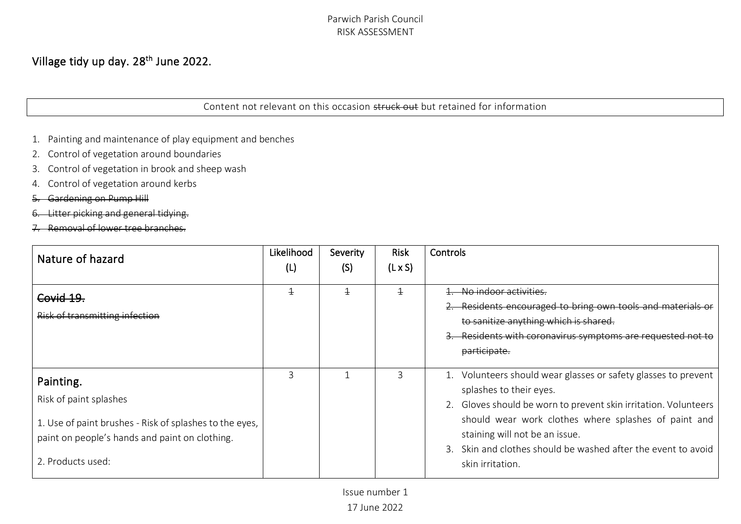# Village tidy up day. 28<sup>th</sup> June 2022.

Content not relevant on this occasion struck out but retained for information

- 1. Painting and maintenance of play equipment and benches
- 2. Control of vegetation around boundaries
- 3. Control of vegetation in brook and sheep wash
- 4. Control of vegetation around kerbs
- 5. Gardening on Pump Hill
- itter picking and general ti
- 7. Removal of lower tree branches.

| Nature of hazard                                                                                                                                                      | Likelihood<br>(L) | Severity<br>(S) | <b>Risk</b><br>$(L \times S)$ | Controls                                                                                                                                                                                                                                                                                                                                    |
|-----------------------------------------------------------------------------------------------------------------------------------------------------------------------|-------------------|-----------------|-------------------------------|---------------------------------------------------------------------------------------------------------------------------------------------------------------------------------------------------------------------------------------------------------------------------------------------------------------------------------------------|
| Covid 19.<br>Risk of transmitting infection                                                                                                                           | $\overline{+}$    | $\pm$           | $\overline{+}$                | No indoor activities.<br>Residents encouraged to bring own tools and materials or<br>to sanitize anything which is shared.<br>Residents with coronavirus symptoms are requested not to<br>participate.                                                                                                                                      |
| Painting.<br>Risk of paint splashes<br>1. Use of paint brushes - Risk of splashes to the eyes,<br>paint on people's hands and paint on clothing.<br>2. Products used: | 3                 |                 | ς                             | 1. Volunteers should wear glasses or safety glasses to prevent<br>splashes to their eyes.<br>2. Gloves should be worn to prevent skin irritation. Volunteers<br>should wear work clothes where splashes of paint and<br>staining will not be an issue.<br>3. Skin and clothes should be washed after the event to avoid<br>skin irritation. |

Issue number 1

17 June 2022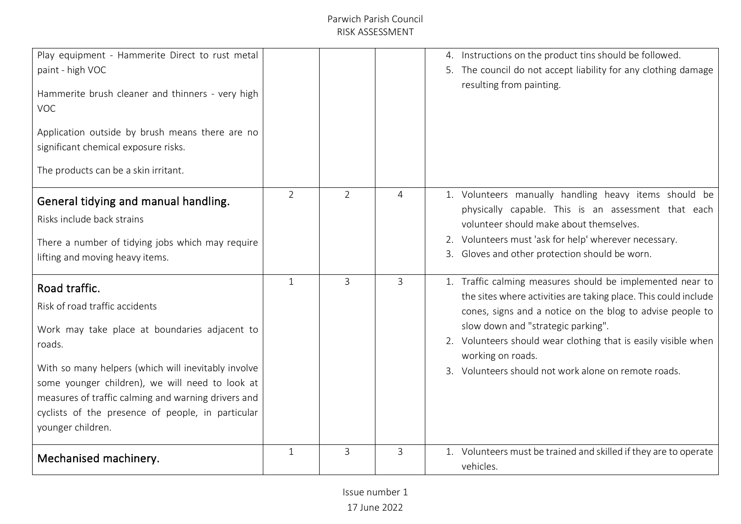| Play equipment - Hammerite Direct to rust metal<br>paint - high VOC<br>Hammerite brush cleaner and thinners - very high<br><b>VOC</b><br>Application outside by brush means there are no<br>significant chemical exposure risks.<br>The products can be a skin irritant.                                                                              |                |                |                | 4. Instructions on the product tins should be followed.<br>5. The council do not accept liability for any clothing damage<br>resulting from painting.                                                                                                                                                                                                                          |
|-------------------------------------------------------------------------------------------------------------------------------------------------------------------------------------------------------------------------------------------------------------------------------------------------------------------------------------------------------|----------------|----------------|----------------|--------------------------------------------------------------------------------------------------------------------------------------------------------------------------------------------------------------------------------------------------------------------------------------------------------------------------------------------------------------------------------|
| General tidying and manual handling.<br>Risks include back strains<br>There a number of tidying jobs which may require<br>lifting and moving heavy items.                                                                                                                                                                                             | $\overline{2}$ | $\overline{2}$ | $\overline{4}$ | 1. Volunteers manually handling heavy items should be<br>physically capable. This is an assessment that each<br>volunteer should make about themselves.<br>2. Volunteers must 'ask for help' wherever necessary.<br>3. Gloves and other protection should be worn.                                                                                                             |
| Road traffic.<br>Risk of road traffic accidents<br>Work may take place at boundaries adjacent to<br>roads.<br>With so many helpers (which will inevitably involve<br>some younger children), we will need to look at<br>measures of traffic calming and warning drivers and<br>cyclists of the presence of people, in particular<br>younger children. | $\mathbf{1}$   | $\overline{3}$ | 3              | 1. Traffic calming measures should be implemented near to<br>the sites where activities are taking place. This could include<br>cones, signs and a notice on the blog to advise people to<br>slow down and "strategic parking".<br>2. Volunteers should wear clothing that is easily visible when<br>working on roads.<br>3. Volunteers should not work alone on remote roads. |
| Mechanised machinery.                                                                                                                                                                                                                                                                                                                                 | $\mathbf{1}$   | 3              | 3              | 1. Volunteers must be trained and skilled if they are to operate<br>vehicles.                                                                                                                                                                                                                                                                                                  |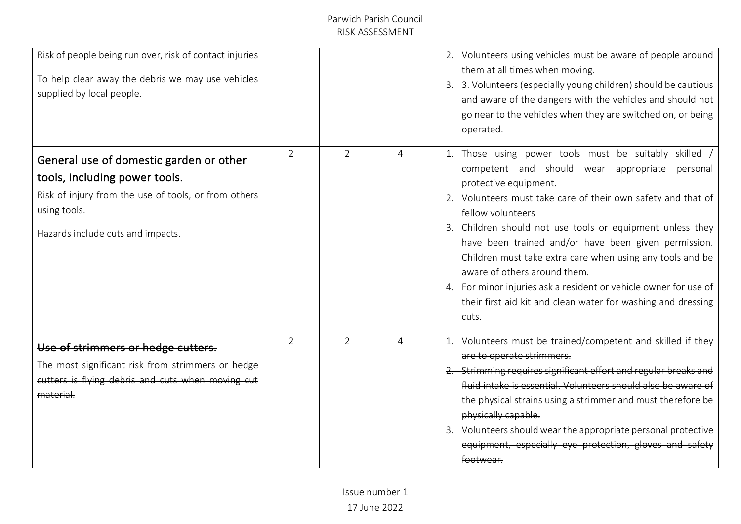| Risk of people being run over, risk of contact injuries<br>To help clear away the debris we may use vehicles<br>supplied by local people.                                             |                |                |   | 2. Volunteers using vehicles must be aware of people around<br>them at all times when moving.<br>3. 3. Volunteers (especially young children) should be cautious<br>and aware of the dangers with the vehicles and should not<br>go near to the vehicles when they are switched on, or being<br>operated.                                                                                                                                                                                                                                                                          |
|---------------------------------------------------------------------------------------------------------------------------------------------------------------------------------------|----------------|----------------|---|------------------------------------------------------------------------------------------------------------------------------------------------------------------------------------------------------------------------------------------------------------------------------------------------------------------------------------------------------------------------------------------------------------------------------------------------------------------------------------------------------------------------------------------------------------------------------------|
| General use of domestic garden or other<br>tools, including power tools.<br>Risk of injury from the use of tools, or from others<br>using tools.<br>Hazards include cuts and impacts. | $\overline{2}$ | $\overline{2}$ | 4 | 1. Those using power tools must be suitably skilled<br>competent and should wear appropriate personal<br>protective equipment.<br>2. Volunteers must take care of their own safety and that of<br>fellow volunteers<br>3. Children should not use tools or equipment unless they<br>have been trained and/or have been given permission.<br>Children must take extra care when using any tools and be<br>aware of others around them.<br>4. For minor injuries ask a resident or vehicle owner for use of<br>their first aid kit and clean water for washing and dressing<br>cuts. |
| Use of strimmers or hedge cutters.<br>The most significant risk from strimmers or hedge<br>cutters is flying debris and cuts when moving cut<br>material.                             | $\overline{2}$ | $\overline{2}$ |   | 1. Volunteers must be trained/competent and skilled if they<br>are to operate strimmers.<br>Strimming requires significant effort and regular breaks and<br>fluid intake is essential. Volunteers should also be aware of<br>the physical strains using a strimmer and must therefore be<br>physically capable.<br>Volunteers should wear the appropriate personal protective<br>equipment, especially eye protection, gloves<br>footwear.                                                                                                                                         |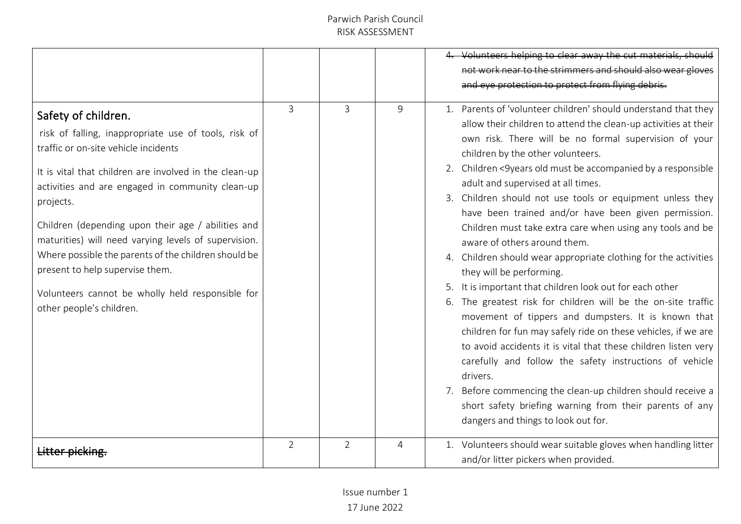|                                                                                                                                                                                                                                                                                                                                                                                                                                                                                                                                         |                |                |   | Volunteers helping to clear away the cut materials, should<br>not work near to the strimmers and should also wear gloves<br>and eye protection to protect from flying debris.                                                                                                                                                                                                                                                                                                                                                                                                                                                                                                                                                                                                                                                                                                                                                                                                                                                                                                                                                                                                                                      |
|-----------------------------------------------------------------------------------------------------------------------------------------------------------------------------------------------------------------------------------------------------------------------------------------------------------------------------------------------------------------------------------------------------------------------------------------------------------------------------------------------------------------------------------------|----------------|----------------|---|--------------------------------------------------------------------------------------------------------------------------------------------------------------------------------------------------------------------------------------------------------------------------------------------------------------------------------------------------------------------------------------------------------------------------------------------------------------------------------------------------------------------------------------------------------------------------------------------------------------------------------------------------------------------------------------------------------------------------------------------------------------------------------------------------------------------------------------------------------------------------------------------------------------------------------------------------------------------------------------------------------------------------------------------------------------------------------------------------------------------------------------------------------------------------------------------------------------------|
| Safety of children.<br>risk of falling, inappropriate use of tools, risk of<br>traffic or on-site vehicle incidents<br>It is vital that children are involved in the clean-up<br>activities and are engaged in community clean-up<br>projects.<br>Children (depending upon their age / abilities and<br>maturities) will need varying levels of supervision.<br>Where possible the parents of the children should be<br>present to help supervise them.<br>Volunteers cannot be wholly held responsible for<br>other people's children. | 3              | 3              | 9 | 1. Parents of 'volunteer children' should understand that they<br>allow their children to attend the clean-up activities at their<br>own risk. There will be no formal supervision of your<br>children by the other volunteers.<br>2. Children <9years old must be accompanied by a responsible<br>adult and supervised at all times.<br>3. Children should not use tools or equipment unless they<br>have been trained and/or have been given permission.<br>Children must take extra care when using any tools and be<br>aware of others around them.<br>4. Children should wear appropriate clothing for the activities<br>they will be performing.<br>It is important that children look out for each other<br>6. The greatest risk for children will be the on-site traffic<br>movement of tippers and dumpsters. It is known that<br>children for fun may safely ride on these vehicles, if we are<br>to avoid accidents it is vital that these children listen very<br>carefully and follow the safety instructions of vehicle<br>drivers.<br>7. Before commencing the clean-up children should receive a<br>short safety briefing warning from their parents of any<br>dangers and things to look out for. |
|                                                                                                                                                                                                                                                                                                                                                                                                                                                                                                                                         | $\overline{2}$ | $\overline{2}$ | 4 | 1. Volunteers should wear suitable gloves when handling litter<br>and/or litter pickers when provided.                                                                                                                                                                                                                                                                                                                                                                                                                                                                                                                                                                                                                                                                                                                                                                                                                                                                                                                                                                                                                                                                                                             |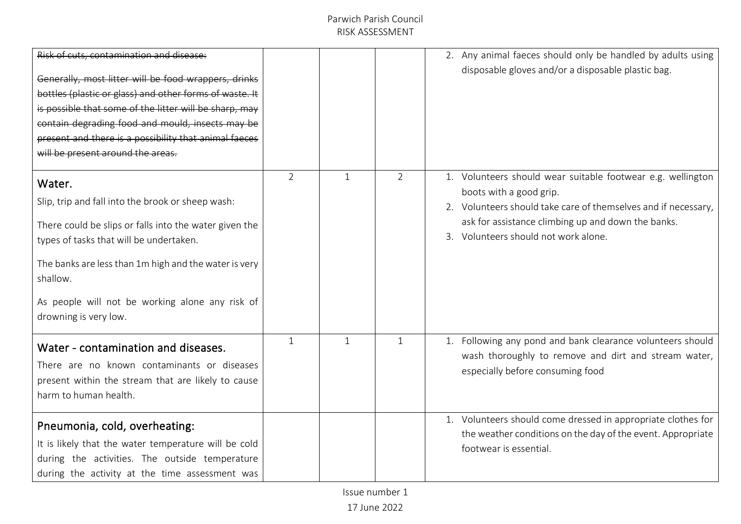| Risk of cuts, contamination and disease:<br>Generally, most litter will be food wrappers, drinks<br>bottles (plastic or glass) and other forms of waste. It<br>is possible that some of the litter will be sharp, may<br>contain degrading food and mould, insects may be<br>present and there is a possibility that animal facces<br>will be present around the areas. |                |   |                | 2. Any animal faeces should only be handled by adults using<br>disposable gloves and/or a disposable plastic bag.                                                                                                                                      |
|-------------------------------------------------------------------------------------------------------------------------------------------------------------------------------------------------------------------------------------------------------------------------------------------------------------------------------------------------------------------------|----------------|---|----------------|--------------------------------------------------------------------------------------------------------------------------------------------------------------------------------------------------------------------------------------------------------|
| Water.<br>Slip, trip and fall into the brook or sheep wash:<br>There could be slips or falls into the water given the<br>types of tasks that will be undertaken.<br>The banks are less than 1m high and the water is very<br>shallow.<br>As people will not be working alone any risk of<br>drowning is very low.                                                       | $\overline{2}$ | 1 | $\overline{2}$ | 1. Volunteers should wear suitable footwear e.g. wellington<br>boots with a good grip.<br>2. Volunteers should take care of themselves and if necessary,<br>ask for assistance climbing up and down the banks.<br>3. Volunteers should not work alone. |
| Water - contamination and diseases.<br>There are no known contaminants or diseases<br>present within the stream that are likely to cause<br>harm to human health.                                                                                                                                                                                                       | $\mathbf{1}$   | 1 | $\mathbf{1}$   | 1. Following any pond and bank clearance volunteers should<br>wash thoroughly to remove and dirt and stream water,<br>especially before consuming food                                                                                                 |
| Pneumonia, cold, overheating:<br>It is likely that the water temperature will be cold<br>during the activities. The outside temperature<br>during the activity at the time assessment was                                                                                                                                                                               |                |   |                | 1. Volunteers should come dressed in appropriate clothes for<br>the weather conditions on the day of the event. Appropriate<br>footwear is essential.                                                                                                  |

Issue number 1

17 June 2022